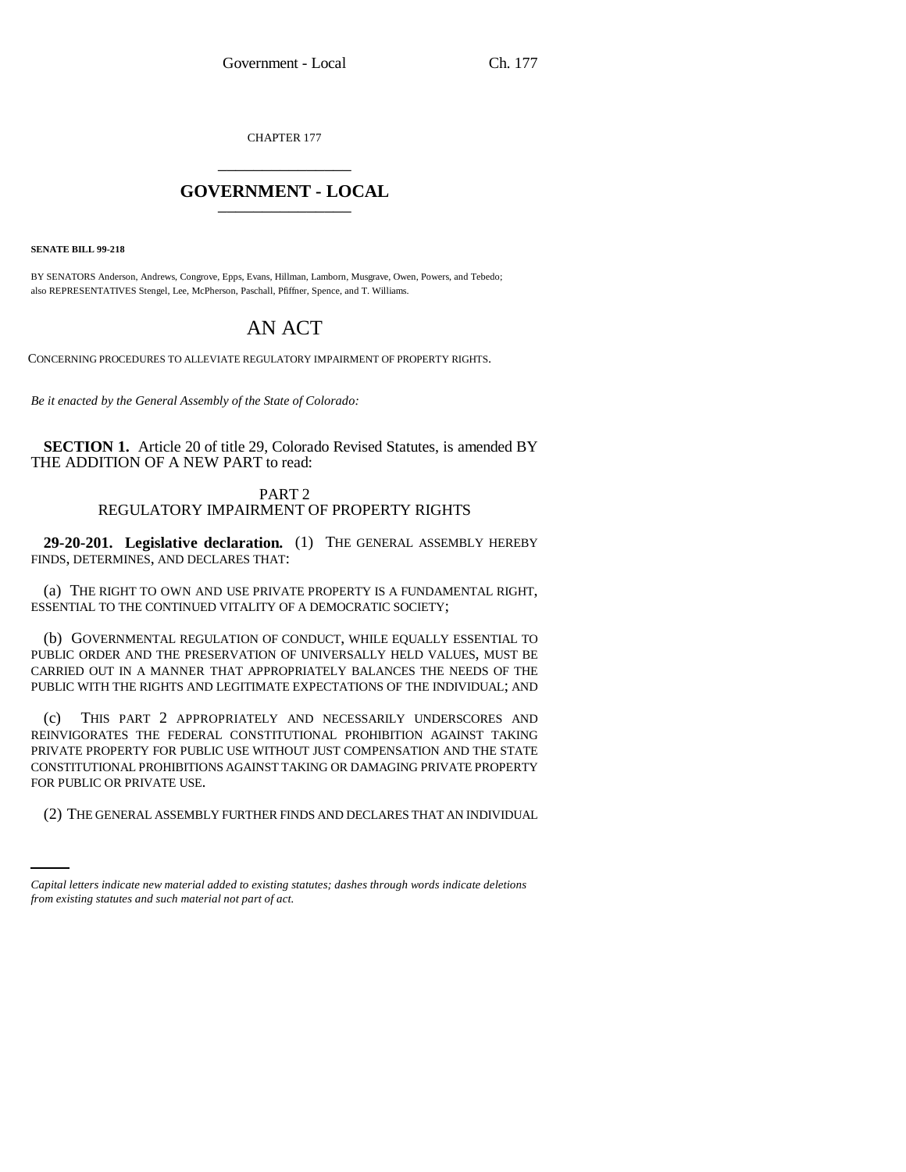CHAPTER 177 \_\_\_\_\_\_\_\_\_\_\_\_\_\_\_

## **GOVERNMENT - LOCAL** \_\_\_\_\_\_\_\_\_\_\_\_\_\_\_

**SENATE BILL 99-218**

BY SENATORS Anderson, Andrews, Congrove, Epps, Evans, Hillman, Lamborn, Musgrave, Owen, Powers, and Tebedo; also REPRESENTATIVES Stengel, Lee, McPherson, Paschall, Pfiffner, Spence, and T. Williams.

## AN ACT

CONCERNING PROCEDURES TO ALLEVIATE REGULATORY IMPAIRMENT OF PROPERTY RIGHTS.

*Be it enacted by the General Assembly of the State of Colorado:*

**SECTION 1.** Article 20 of title 29, Colorado Revised Statutes, is amended BY THE ADDITION OF A NEW PART to read:

## PART 2 REGULATORY IMPAIRMENT OF PROPERTY RIGHTS

**29-20-201. Legislative declaration.** (1) THE GENERAL ASSEMBLY HEREBY FINDS, DETERMINES, AND DECLARES THAT:

(a) THE RIGHT TO OWN AND USE PRIVATE PROPERTY IS A FUNDAMENTAL RIGHT, ESSENTIAL TO THE CONTINUED VITALITY OF A DEMOCRATIC SOCIETY;

(b) GOVERNMENTAL REGULATION OF CONDUCT, WHILE EQUALLY ESSENTIAL TO PUBLIC ORDER AND THE PRESERVATION OF UNIVERSALLY HELD VALUES, MUST BE CARRIED OUT IN A MANNER THAT APPROPRIATELY BALANCES THE NEEDS OF THE PUBLIC WITH THE RIGHTS AND LEGITIMATE EXPECTATIONS OF THE INDIVIDUAL; AND

FOR PUBLIC OR PRIVATE USE. (c) THIS PART 2 APPROPRIATELY AND NECESSARILY UNDERSCORES AND REINVIGORATES THE FEDERAL CONSTITUTIONAL PROHIBITION AGAINST TAKING PRIVATE PROPERTY FOR PUBLIC USE WITHOUT JUST COMPENSATION AND THE STATE CONSTITUTIONAL PROHIBITIONS AGAINST TAKING OR DAMAGING PRIVATE PROPERTY

(2) THE GENERAL ASSEMBLY FURTHER FINDS AND DECLARES THAT AN INDIVIDUAL

*Capital letters indicate new material added to existing statutes; dashes through words indicate deletions from existing statutes and such material not part of act.*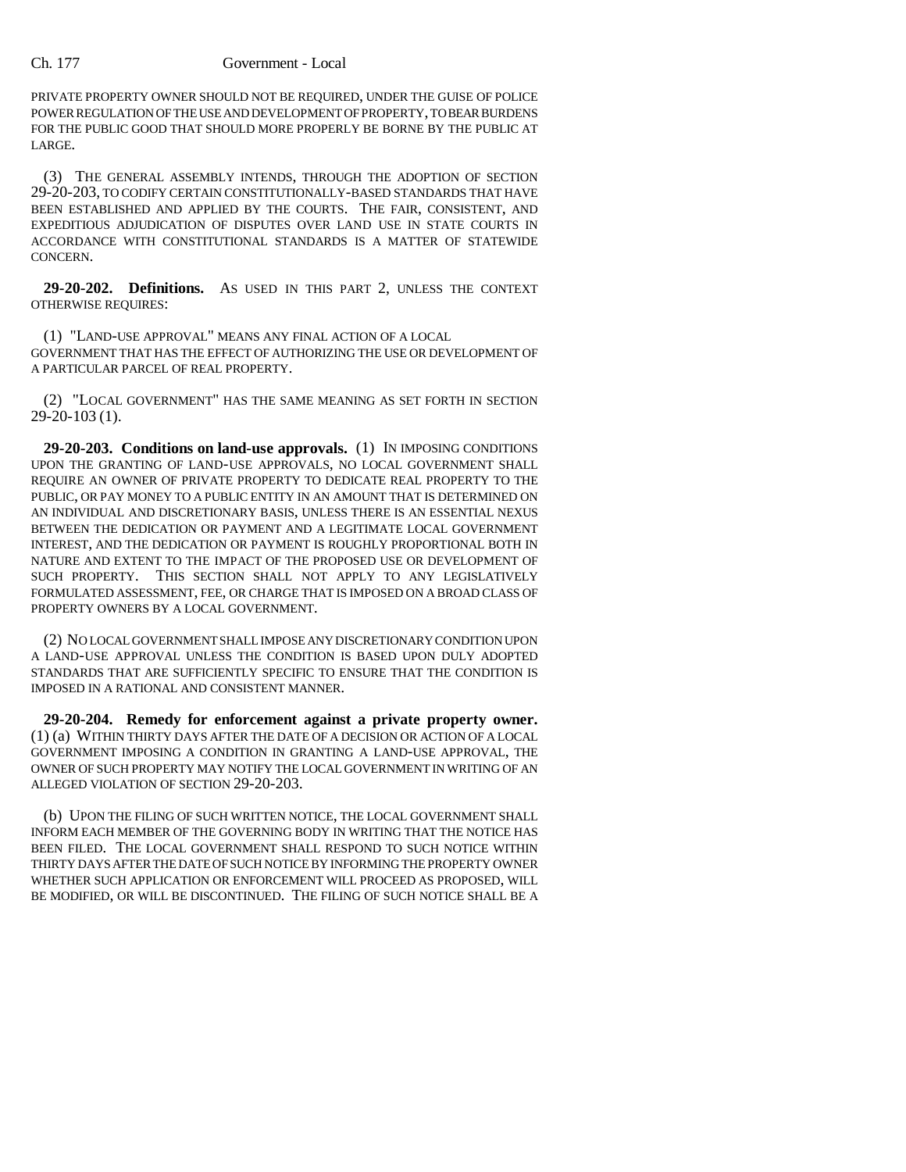## Ch. 177 Government - Local

PRIVATE PROPERTY OWNER SHOULD NOT BE REQUIRED, UNDER THE GUISE OF POLICE POWER REGULATION OF THE USE AND DEVELOPMENT OF PROPERTY, TO BEAR BURDENS FOR THE PUBLIC GOOD THAT SHOULD MORE PROPERLY BE BORNE BY THE PUBLIC AT LARGE.

(3) THE GENERAL ASSEMBLY INTENDS, THROUGH THE ADOPTION OF SECTION 29-20-203, TO CODIFY CERTAIN CONSTITUTIONALLY-BASED STANDARDS THAT HAVE BEEN ESTABLISHED AND APPLIED BY THE COURTS. THE FAIR, CONSISTENT, AND EXPEDITIOUS ADJUDICATION OF DISPUTES OVER LAND USE IN STATE COURTS IN ACCORDANCE WITH CONSTITUTIONAL STANDARDS IS A MATTER OF STATEWIDE CONCERN.

**29-20-202. Definitions.** AS USED IN THIS PART 2, UNLESS THE CONTEXT OTHERWISE REQUIRES:

(1) "LAND-USE APPROVAL" MEANS ANY FINAL ACTION OF A LOCAL GOVERNMENT THAT HAS THE EFFECT OF AUTHORIZING THE USE OR DEVELOPMENT OF A PARTICULAR PARCEL OF REAL PROPERTY.

(2) "LOCAL GOVERNMENT" HAS THE SAME MEANING AS SET FORTH IN SECTION 29-20-103 (1).

**29-20-203. Conditions on land-use approvals.** (1) IN IMPOSING CONDITIONS UPON THE GRANTING OF LAND-USE APPROVALS, NO LOCAL GOVERNMENT SHALL REQUIRE AN OWNER OF PRIVATE PROPERTY TO DEDICATE REAL PROPERTY TO THE PUBLIC, OR PAY MONEY TO A PUBLIC ENTITY IN AN AMOUNT THAT IS DETERMINED ON AN INDIVIDUAL AND DISCRETIONARY BASIS, UNLESS THERE IS AN ESSENTIAL NEXUS BETWEEN THE DEDICATION OR PAYMENT AND A LEGITIMATE LOCAL GOVERNMENT INTEREST, AND THE DEDICATION OR PAYMENT IS ROUGHLY PROPORTIONAL BOTH IN NATURE AND EXTENT TO THE IMPACT OF THE PROPOSED USE OR DEVELOPMENT OF SUCH PROPERTY. THIS SECTION SHALL NOT APPLY TO ANY LEGISLATIVELY FORMULATED ASSESSMENT, FEE, OR CHARGE THAT IS IMPOSED ON A BROAD CLASS OF PROPERTY OWNERS BY A LOCAL GOVERNMENT.

(2) NO LOCAL GOVERNMENT SHALL IMPOSE ANY DISCRETIONARY CONDITION UPON A LAND-USE APPROVAL UNLESS THE CONDITION IS BASED UPON DULY ADOPTED STANDARDS THAT ARE SUFFICIENTLY SPECIFIC TO ENSURE THAT THE CONDITION IS IMPOSED IN A RATIONAL AND CONSISTENT MANNER.

**29-20-204. Remedy for enforcement against a private property owner.** (1) (a) WITHIN THIRTY DAYS AFTER THE DATE OF A DECISION OR ACTION OF A LOCAL GOVERNMENT IMPOSING A CONDITION IN GRANTING A LAND-USE APPROVAL, THE OWNER OF SUCH PROPERTY MAY NOTIFY THE LOCAL GOVERNMENT IN WRITING OF AN ALLEGED VIOLATION OF SECTION 29-20-203.

(b) UPON THE FILING OF SUCH WRITTEN NOTICE, THE LOCAL GOVERNMENT SHALL INFORM EACH MEMBER OF THE GOVERNING BODY IN WRITING THAT THE NOTICE HAS BEEN FILED. THE LOCAL GOVERNMENT SHALL RESPOND TO SUCH NOTICE WITHIN THIRTY DAYS AFTER THE DATE OF SUCH NOTICE BY INFORMING THE PROPERTY OWNER WHETHER SUCH APPLICATION OR ENFORCEMENT WILL PROCEED AS PROPOSED, WILL BE MODIFIED, OR WILL BE DISCONTINUED. THE FILING OF SUCH NOTICE SHALL BE A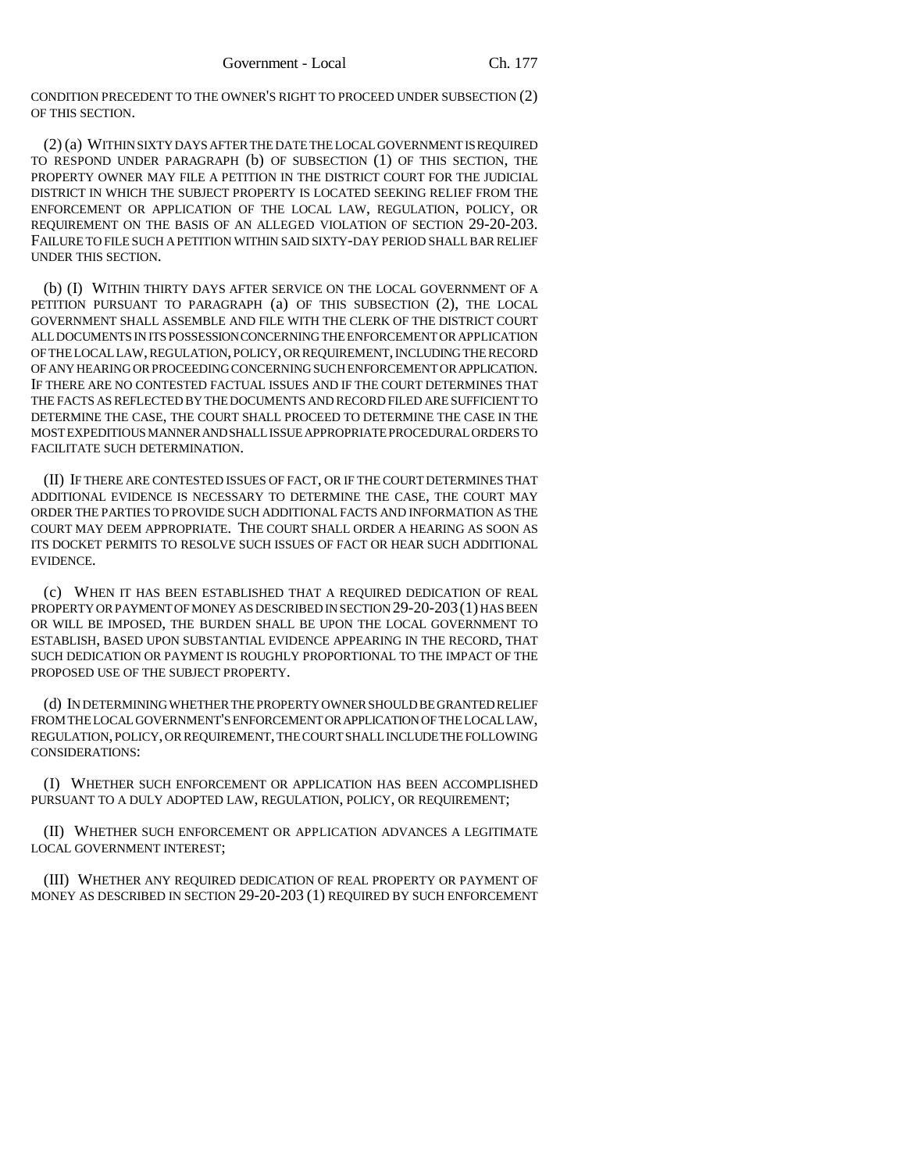CONDITION PRECEDENT TO THE OWNER'S RIGHT TO PROCEED UNDER SUBSECTION (2) OF THIS SECTION.

(2) (a) WITHIN SIXTY DAYS AFTER THE DATE THE LOCAL GOVERNMENT IS REQUIRED TO RESPOND UNDER PARAGRAPH (b) OF SUBSECTION (1) OF THIS SECTION, THE PROPERTY OWNER MAY FILE A PETITION IN THE DISTRICT COURT FOR THE JUDICIAL DISTRICT IN WHICH THE SUBJECT PROPERTY IS LOCATED SEEKING RELIEF FROM THE ENFORCEMENT OR APPLICATION OF THE LOCAL LAW, REGULATION, POLICY, OR REQUIREMENT ON THE BASIS OF AN ALLEGED VIOLATION OF SECTION 29-20-203. FAILURE TO FILE SUCH A PETITION WITHIN SAID SIXTY-DAY PERIOD SHALL BAR RELIEF UNDER THIS SECTION.

(b) (I) WITHIN THIRTY DAYS AFTER SERVICE ON THE LOCAL GOVERNMENT OF A PETITION PURSUANT TO PARAGRAPH (a) OF THIS SUBSECTION (2), THE LOCAL GOVERNMENT SHALL ASSEMBLE AND FILE WITH THE CLERK OF THE DISTRICT COURT ALL DOCUMENTS IN ITS POSSESSION CONCERNING THE ENFORCEMENT OR APPLICATION OF THE LOCAL LAW, REGULATION, POLICY, OR REQUIREMENT, INCLUDING THE RECORD OF ANY HEARING OR PROCEEDING CONCERNING SUCH ENFORCEMENT OR APPLICATION. IF THERE ARE NO CONTESTED FACTUAL ISSUES AND IF THE COURT DETERMINES THAT THE FACTS AS REFLECTED BY THE DOCUMENTS AND RECORD FILED ARE SUFFICIENT TO DETERMINE THE CASE, THE COURT SHALL PROCEED TO DETERMINE THE CASE IN THE MOST EXPEDITIOUS MANNER AND SHALL ISSUE APPROPRIATE PROCEDURAL ORDERS TO FACILITATE SUCH DETERMINATION.

(II) IF THERE ARE CONTESTED ISSUES OF FACT, OR IF THE COURT DETERMINES THAT ADDITIONAL EVIDENCE IS NECESSARY TO DETERMINE THE CASE, THE COURT MAY ORDER THE PARTIES TO PROVIDE SUCH ADDITIONAL FACTS AND INFORMATION AS THE COURT MAY DEEM APPROPRIATE. THE COURT SHALL ORDER A HEARING AS SOON AS ITS DOCKET PERMITS TO RESOLVE SUCH ISSUES OF FACT OR HEAR SUCH ADDITIONAL EVIDENCE.

(c) WHEN IT HAS BEEN ESTABLISHED THAT A REQUIRED DEDICATION OF REAL PROPERTY OR PAYMENT OF MONEY AS DESCRIBED IN SECTION 29-20-203(1) HAS BEEN OR WILL BE IMPOSED, THE BURDEN SHALL BE UPON THE LOCAL GOVERNMENT TO ESTABLISH, BASED UPON SUBSTANTIAL EVIDENCE APPEARING IN THE RECORD, THAT SUCH DEDICATION OR PAYMENT IS ROUGHLY PROPORTIONAL TO THE IMPACT OF THE PROPOSED USE OF THE SUBJECT PROPERTY.

(d) IN DETERMINING WHETHER THE PROPERTY OWNER SHOULD BE GRANTED RELIEF FROM THE LOCAL GOVERNMENT'S ENFORCEMENT OR APPLICATION OF THE LOCAL LAW, REGULATION, POLICY, OR REQUIREMENT, THE COURT SHALL INCLUDE THE FOLLOWING CONSIDERATIONS:

(I) WHETHER SUCH ENFORCEMENT OR APPLICATION HAS BEEN ACCOMPLISHED PURSUANT TO A DULY ADOPTED LAW, REGULATION, POLICY, OR REQUIREMENT;

(II) WHETHER SUCH ENFORCEMENT OR APPLICATION ADVANCES A LEGITIMATE LOCAL GOVERNMENT INTEREST;

(III) WHETHER ANY REQUIRED DEDICATION OF REAL PROPERTY OR PAYMENT OF MONEY AS DESCRIBED IN SECTION 29-20-203 (1) REQUIRED BY SUCH ENFORCEMENT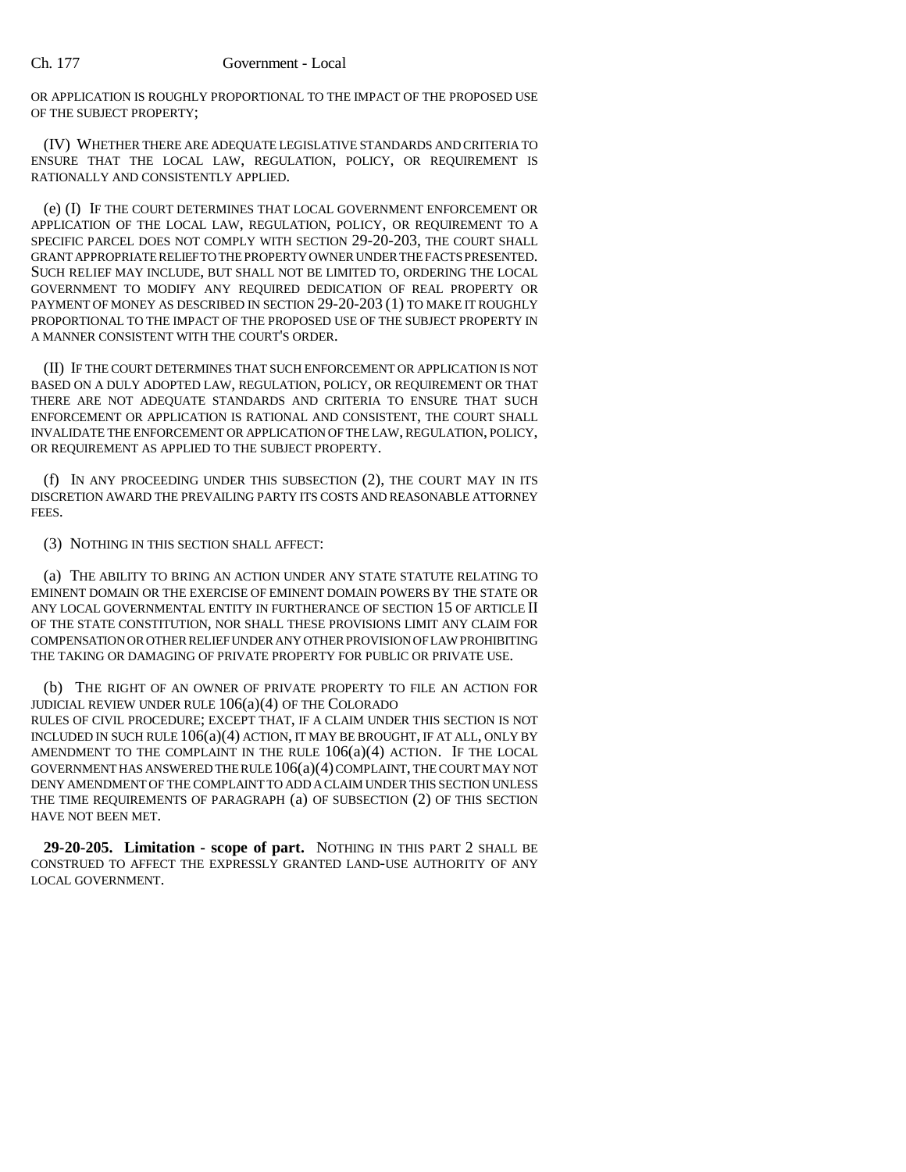OR APPLICATION IS ROUGHLY PROPORTIONAL TO THE IMPACT OF THE PROPOSED USE OF THE SUBJECT PROPERTY;

(IV) WHETHER THERE ARE ADEQUATE LEGISLATIVE STANDARDS AND CRITERIA TO ENSURE THAT THE LOCAL LAW, REGULATION, POLICY, OR REQUIREMENT IS RATIONALLY AND CONSISTENTLY APPLIED.

(e) (I) IF THE COURT DETERMINES THAT LOCAL GOVERNMENT ENFORCEMENT OR APPLICATION OF THE LOCAL LAW, REGULATION, POLICY, OR REQUIREMENT TO A SPECIFIC PARCEL DOES NOT COMPLY WITH SECTION 29-20-203, THE COURT SHALL GRANT APPROPRIATE RELIEF TO THE PROPERTY OWNER UNDER THE FACTS PRESENTED. SUCH RELIEF MAY INCLUDE, BUT SHALL NOT BE LIMITED TO, ORDERING THE LOCAL GOVERNMENT TO MODIFY ANY REQUIRED DEDICATION OF REAL PROPERTY OR PAYMENT OF MONEY AS DESCRIBED IN SECTION 29-20-203 (1) TO MAKE IT ROUGHLY PROPORTIONAL TO THE IMPACT OF THE PROPOSED USE OF THE SUBJECT PROPERTY IN A MANNER CONSISTENT WITH THE COURT'S ORDER.

(II) IF THE COURT DETERMINES THAT SUCH ENFORCEMENT OR APPLICATION IS NOT BASED ON A DULY ADOPTED LAW, REGULATION, POLICY, OR REQUIREMENT OR THAT THERE ARE NOT ADEQUATE STANDARDS AND CRITERIA TO ENSURE THAT SUCH ENFORCEMENT OR APPLICATION IS RATIONAL AND CONSISTENT, THE COURT SHALL INVALIDATE THE ENFORCEMENT OR APPLICATION OF THE LAW, REGULATION, POLICY, OR REQUIREMENT AS APPLIED TO THE SUBJECT PROPERTY.

(f) IN ANY PROCEEDING UNDER THIS SUBSECTION (2), THE COURT MAY IN ITS DISCRETION AWARD THE PREVAILING PARTY ITS COSTS AND REASONABLE ATTORNEY FEES.

(3) NOTHING IN THIS SECTION SHALL AFFECT:

(a) THE ABILITY TO BRING AN ACTION UNDER ANY STATE STATUTE RELATING TO EMINENT DOMAIN OR THE EXERCISE OF EMINENT DOMAIN POWERS BY THE STATE OR ANY LOCAL GOVERNMENTAL ENTITY IN FURTHERANCE OF SECTION 15 OF ARTICLE II OF THE STATE CONSTITUTION, NOR SHALL THESE PROVISIONS LIMIT ANY CLAIM FOR COMPENSATION OR OTHER RELIEF UNDER ANY OTHER PROVISION OF LAW PROHIBITING THE TAKING OR DAMAGING OF PRIVATE PROPERTY FOR PUBLIC OR PRIVATE USE.

(b) THE RIGHT OF AN OWNER OF PRIVATE PROPERTY TO FILE AN ACTION FOR JUDICIAL REVIEW UNDER RULE 106(a)(4) OF THE COLORADO RULES OF CIVIL PROCEDURE; EXCEPT THAT, IF A CLAIM UNDER THIS SECTION IS NOT INCLUDED IN SUCH RULE 106(a)(4) ACTION, IT MAY BE BROUGHT, IF AT ALL, ONLY BY AMENDMENT TO THE COMPLAINT IN THE RULE  $106(a)(4)$  ACTION. IF THE LOCAL GOVERNMENT HAS ANSWERED THE RULE 106(a)(4) COMPLAINT, THE COURT MAY NOT DENY AMENDMENT OF THE COMPLAINT TO ADD A CLAIM UNDER THIS SECTION UNLESS THE TIME REQUIREMENTS OF PARAGRAPH (a) OF SUBSECTION (2) OF THIS SECTION HAVE NOT BEEN MET.

**29-20-205. Limitation - scope of part.** NOTHING IN THIS PART 2 SHALL BE CONSTRUED TO AFFECT THE EXPRESSLY GRANTED LAND-USE AUTHORITY OF ANY LOCAL GOVERNMENT.